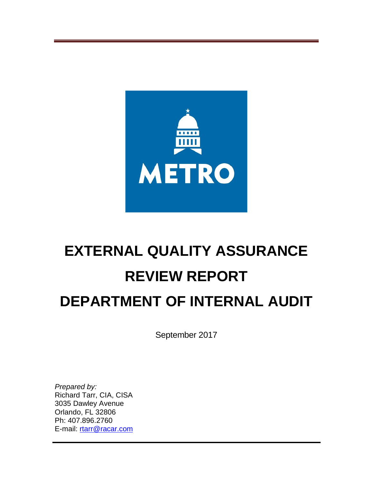

# **EXTERNAL QUALITY ASSURANCE REVIEW REPORT DEPARTMENT OF INTERNAL AUDIT**

September 2017

*Prepared by:* Richard Tarr, CIA, CISA 3035 Dawley Avenue Orlando, FL 32806 Ph: 407.896.2760 E-mail: [rtarr@racar.com](mailto:rtarr@racar.com)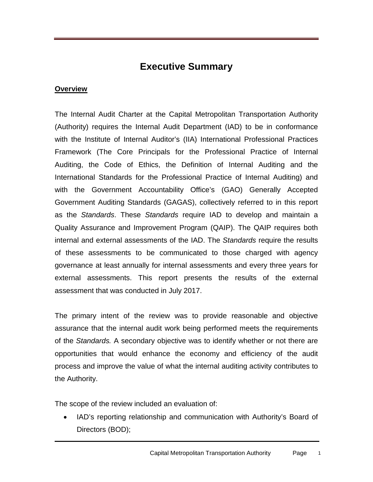# **Executive Summary**

### **Overview**

The Internal Audit Charter at the Capital Metropolitan Transportation Authority (Authority) requires the Internal Audit Department (IAD) to be in conformance with the Institute of Internal Auditor's (IIA) International Professional Practices Framework (The Core Principals for the Professional Practice of Internal Auditing, the Code of Ethics, the Definition of Internal Auditing and the International Standards for the Professional Practice of Internal Auditing) and with the Government Accountability Office's (GAO) Generally Accepted Government Auditing Standards (GAGAS), collectively referred to in this report as the *Standards*. These *Standards* require IAD to develop and maintain a Quality Assurance and Improvement Program (QAIP). The QAIP requires both internal and external assessments of the IAD. The *Standards* require the results of these assessments to be communicated to those charged with agency governance at least annually for internal assessments and every three years for external assessments. This report presents the results of the external assessment that was conducted in July 2017.

The primary intent of the review was to provide reasonable and objective assurance that the internal audit work being performed meets the requirements of the *Standards.* A secondary objective was to identify whether or not there are opportunities that would enhance the economy and efficiency of the audit process and improve the value of what the internal auditing activity contributes to the Authority.

The scope of the review included an evaluation of:

• IAD's reporting relationship and communication with Authority's Board of Directors (BOD);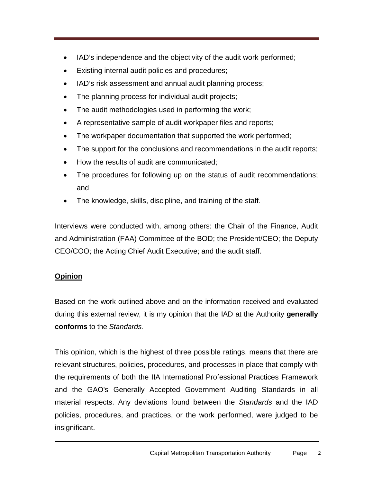- IAD's independence and the objectivity of the audit work performed;
- Existing internal audit policies and procedures;
- IAD's risk assessment and annual audit planning process;
- The planning process for individual audit projects;
- The audit methodologies used in performing the work;
- A representative sample of audit workpaper files and reports;
- The workpaper documentation that supported the work performed;
- The support for the conclusions and recommendations in the audit reports;
- How the results of audit are communicated;
- The procedures for following up on the status of audit recommendations; and
- The knowledge, skills, discipline, and training of the staff.

Interviews were conducted with, among others: the Chair of the Finance, Audit and Administration (FAA) Committee of the BOD; the President/CEO; the Deputy CEO/COO; the Acting Chief Audit Executive; and the audit staff.

## **Opinion**

Based on the work outlined above and on the information received and evaluated during this external review, it is my opinion that the IAD at the Authority **generally conforms** to the *Standards.*

This opinion, which is the highest of three possible ratings, means that there are relevant structures, policies, procedures, and processes in place that comply with the requirements of both the IIA International Professional Practices Framework and the GAO's Generally Accepted Government Auditing Standards in all material respects. Any deviations found between the *Standards* and the IAD policies, procedures, and practices, or the work performed, were judged to be insignificant.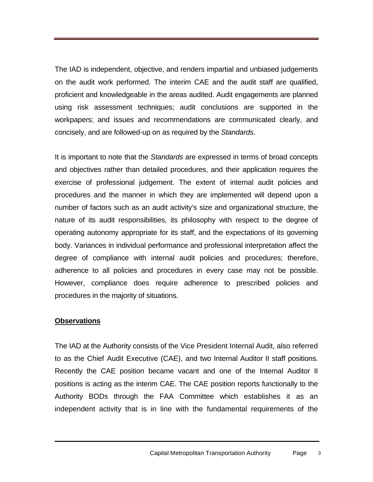The IAD is independent, objective, and renders impartial and unbiased judgements on the audit work performed. The interim CAE and the audit staff are qualified, proficient and knowledgeable in the areas audited. Audit engagements are planned using risk assessment techniques; audit conclusions are supported in the workpapers; and issues and recommendations are communicated clearly, and concisely, and are followed-up on as required by the *Standards*.

It is important to note that the *Standards* are expressed in terms of broad concepts and objectives rather than detailed procedures, and their application requires the exercise of professional judgement. The extent of internal audit policies and procedures and the manner in which they are implemented will depend upon a number of factors such as an audit activity's size and organizational structure, the nature of its audit responsibilities, its philosophy with respect to the degree of operating autonomy appropriate for its staff, and the expectations of its governing body. Variances in individual performance and professional interpretation affect the degree of compliance with internal audit policies and procedures; therefore, adherence to all policies and procedures in every case may not be possible. However, compliance does require adherence to prescribed policies and procedures in the majority of situations.

#### **Observations**

The IAD at the Authority consists of the Vice President Internal Audit, also referred to as the Chief Audit Executive (CAE), and two Internal Auditor II staff positions. Recently the CAE position became vacant and one of the Internal Auditor II positions is acting as the interim CAE. The CAE position reports functionally to the Authority BODs through the FAA Committee which establishes it as an independent activity that is in line with the fundamental requirements of the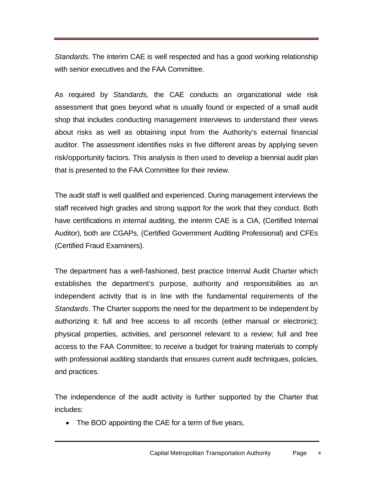*Standards.* The interim CAE is well respected and has a good working relationship with senior executives and the FAA Committee.

As required by *Standards,* the CAE conducts an organizational wide risk assessment that goes beyond what is usually found or expected of a small audit shop that includes conducting management interviews to understand their views about risks as well as obtaining input from the Authority's external financial auditor. The assessment identifies risks in five different areas by applying seven risk/opportunity factors. This analysis is then used to develop a biennial audit plan that is presented to the FAA Committee for their review.

The audit staff is well qualified and experienced. During management interviews the staff received high grades and strong support for the work that they conduct. Both have certifications in internal auditing, the interim CAE is a CIA, (Certified Internal Auditor), both are CGAPs, (Certified Government Auditing Professional) and CFEs (Certified Fraud Examiners).

The department has a well-fashioned, best practice Internal Audit Charter which establishes the department's purpose, authority and responsibilities as an independent activity that is in line with the fundamental requirements of the *Standards*. The Charter supports the need for the department to be independent by authorizing it: full and free access to all records (either manual or electronic); physical properties, activities, and personnel relevant to a review; full and free access to the FAA Committee; to receive a budget for training materials to comply with professional auditing standards that ensures current audit techniques, policies, and practices.

The independence of the audit activity is further supported by the Charter that includes:

• The BOD appointing the CAE for a term of five years,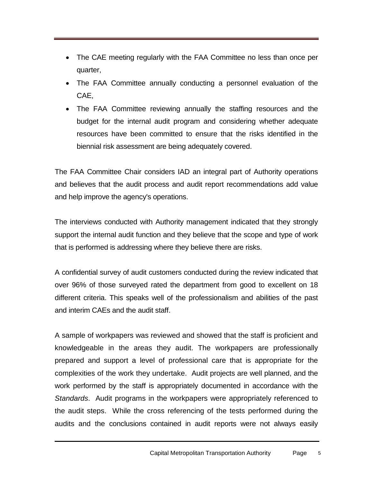- The CAE meeting regularly with the FAA Committee no less than once per quarter,
- The FAA Committee annually conducting a personnel evaluation of the CAE,
- The FAA Committee reviewing annually the staffing resources and the budget for the internal audit program and considering whether adequate resources have been committed to ensure that the risks identified in the biennial risk assessment are being adequately covered.

The FAA Committee Chair considers IAD an integral part of Authority operations and believes that the audit process and audit report recommendations add value and help improve the agency's operations.

The interviews conducted with Authority management indicated that they strongly support the internal audit function and they believe that the scope and type of work that is performed is addressing where they believe there are risks.

A confidential survey of audit customers conducted during the review indicated that over 96% of those surveyed rated the department from good to excellent on 18 different criteria. This speaks well of the professionalism and abilities of the past and interim CAEs and the audit staff.

A sample of workpapers was reviewed and showed that the staff is proficient and knowledgeable in the areas they audit. The workpapers are professionally prepared and support a level of professional care that is appropriate for the complexities of the work they undertake. Audit projects are well planned, and the work performed by the staff is appropriately documented in accordance with the *Standards*. Audit programs in the workpapers were appropriately referenced to the audit steps. While the cross referencing of the tests performed during the audits and the conclusions contained in audit reports were not always easily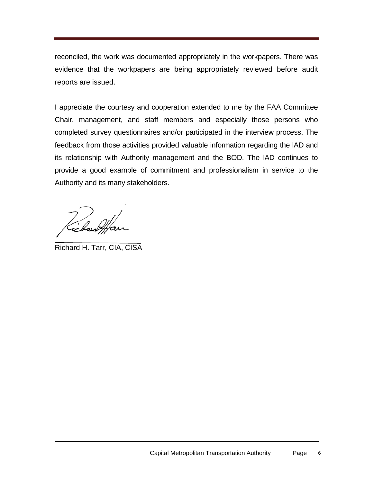reconciled, the work was documented appropriately in the workpapers. There was evidence that the workpapers are being appropriately reviewed before audit reports are issued.

I appreciate the courtesy and cooperation extended to me by the FAA Committee Chair, management, and staff members and especially those persons who completed survey questionnaires and/or participated in the interview process. The feedback from those activities provided valuable information regarding the lAD and its relationship with Authority management and the BOD. The lAD continues to provide a good example of commitment and professionalism in service to the Authority and its many stakeholders.

)<br>ccboshf

Richard H. Tarr, CIA, CISA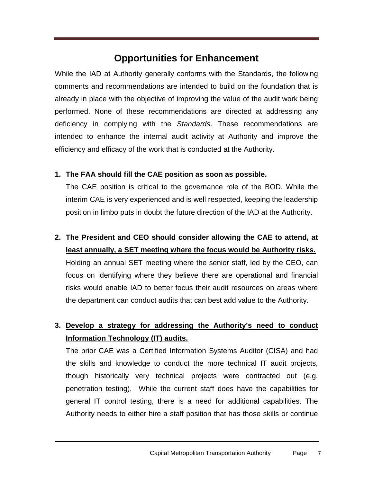# **Opportunities for Enhancement**

While the IAD at Authority generally conforms with the Standards, the following comments and recommendations are intended to build on the foundation that is already in place with the objective of improving the value of the audit work being performed. None of these recommendations are directed at addressing any deficiency in complying with the *Standards*. These recommendations are intended to enhance the internal audit activity at Authority and improve the efficiency and efficacy of the work that is conducted at the Authority.

## **1. The FAA should fill the CAE position as soon as possible.**

The CAE position is critical to the governance role of the BOD. While the interim CAE is very experienced and is well respected, keeping the leadership position in limbo puts in doubt the future direction of the IAD at the Authority.

**2. The President and CEO should consider allowing the CAE to attend, at least annually, a SET meeting where the focus would be Authority risks.** Holding an annual SET meeting where the senior staff, led by the CEO, can focus on identifying where they believe there are operational and financial risks would enable IAD to better focus their audit resources on areas where the department can conduct audits that can best add value to the Authority.

# **3. Develop a strategy for addressing the Authority's need to conduct Information Technology (IT) audits.**

The prior CAE was a Certified Information Systems Auditor (CISA) and had the skills and knowledge to conduct the more technical IT audit projects, though historically very technical projects were contracted out (e.g. penetration testing). While the current staff does have the capabilities for general IT control testing, there is a need for additional capabilities. The Authority needs to either hire a staff position that has those skills or continue